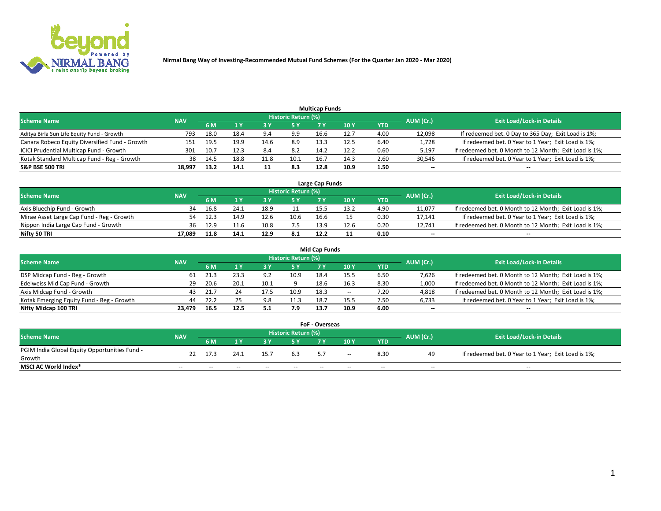

|                                                |            |      |      |      |                     | <b>Multicap Funds</b> |      |      |           |                                                        |
|------------------------------------------------|------------|------|------|------|---------------------|-----------------------|------|------|-----------|--------------------------------------------------------|
| <b>Scheme Name</b>                             | <b>NAV</b> |      |      |      | Historic Return (%) |                       |      |      | AUM (Cr.) | <b>Exit Load/Lock-in Details</b>                       |
|                                                |            | 6 M  |      |      | 5 Y                 | 7 Y                   | 10Y  | YTD  |           |                                                        |
| Aditya Birla Sun Life Equity Fund - Growth     | 793        | 18.0 | 18.4 |      | 9.9                 | 16.6                  | 12.7 | 4.00 | 12,098    | If redeemed bet. 0 Day to 365 Day; Exit Load is 1%;    |
| Canara Robeco Equity Diversified Fund - Growth | 151        | 19.5 | 19.9 | 14.6 | 8.9                 | 13.3                  | 12.5 | 6.40 | 1,728     | If redeemed bet. 0 Year to 1 Year; Exit Load is 1%;    |
| ICICI Prudential Multicap Fund - Growth        | 301        | 10.7 | 12.3 |      | 8.2                 | 14.2                  | 12.2 | 0.60 | 5,197     | If redeemed bet. 0 Month to 12 Month; Exit Load is 1%; |
| Kotak Standard Multicap Fund - Reg - Growth    | 38         | 14.5 | 18.8 | 11.8 | 10.1                | 16.7                  | 14.3 | 2.60 | 30,546    | If redeemed bet. 0 Year to 1 Year; Exit Load is 1%;    |
| <b>S&amp;P BSE 500 TRI</b>                     | 18.997     | 13.2 | 14.1 |      | 8.3                 | 12.8                  | 10.9 | 1.50 | $\sim$    | $- -$                                                  |

| Large Cap Funds                           |            |      |      |      |                     |      |      |      |           |                                                        |  |  |  |  |
|-------------------------------------------|------------|------|------|------|---------------------|------|------|------|-----------|--------------------------------------------------------|--|--|--|--|
| Scheme Name                               | <b>NAV</b> |      |      |      | Historic Return (%) |      |      |      | AUM (Cr.) | <b>Exit Load/Lock-in Details</b>                       |  |  |  |  |
|                                           |            | 6 M  |      |      | 5 Y                 |      | 10Y  | YTD  |           |                                                        |  |  |  |  |
| Axis Bluechip Fund - Growth               | 34         | 16.8 | 24.1 | 18.9 |                     |      | 13.2 | 4.90 | 11,077    | If redeemed bet. 0 Month to 12 Month; Exit Load is 1%; |  |  |  |  |
| Mirae Asset Large Cap Fund - Reg - Growth | 54         | 12.3 | 14.9 | 12.6 | 10.6                | 16.6 |      | 0.30 | 17,141    | If redeemed bet. 0 Year to 1 Year; Exit Load is 1%;    |  |  |  |  |
| Nippon India Large Cap Fund - Growth      | 36         | 12.9 | 11.6 | 10.8 | 7.5                 | 13.9 | 12.6 | 0.20 | 12.741    | If redeemed bet. 0 Month to 12 Month; Exit Load is 1%; |  |  |  |  |
| Nifty 50 TRI                              | 17.089     | 11.8 | 14.1 | 12.9 | 8.1                 | 12.2 |      | 0.10 | $\sim$    | $\sim$                                                 |  |  |  |  |

|                                           |            |      |      |      |                     | <b>Mid Cap Funds</b> |      |            |           |                                                        |
|-------------------------------------------|------------|------|------|------|---------------------|----------------------|------|------------|-----------|--------------------------------------------------------|
| <b>Scheme Name</b>                        | <b>NAV</b> |      |      |      | Historic Return (%) |                      |      |            | AUM (Cr.) | <b>Exit Load/Lock-in Details</b>                       |
|                                           |            | 6 M  |      |      | 5 Y                 |                      | 10 Y | <b>YTD</b> |           |                                                        |
| DSP Midcap Fund - Reg - Growth            | 61         | 21.3 | 23.3 | 9.2  | 10.9                | 18.4                 | 15.5 | 6.50       | 7,626     | If redeemed bet. 0 Month to 12 Month; Exit Load is 1%; |
| Edelweiss Mid Cap Fund - Growth           | 29         | 20.6 | 20.1 | 10.1 |                     | 18.6                 | 16.3 | 8.30       | 1,000     | If redeemed bet. 0 Month to 12 Month; Exit Load is 1%; |
| Axis Midcap Fund - Growth                 | 43         | 21.7 |      | 17.5 | 10.9                | 18.3                 | $-$  | 7.20       | 4,818     | If redeemed bet. 0 Month to 12 Month; Exit Load is 1%; |
| Kotak Emerging Equity Fund - Reg - Growth | 44         | 22.2 |      | 9.8  | 11.3                | 18.7                 | 15.5 | 7.50       | 6,733     | If redeemed bet. 0 Year to 1 Year; Exit Load is 1%;    |
| Nifty Midcap 100 TRI                      | 23.479     |      | 12.5 |      | 7.9                 | 13.7                 | 10.9 | 6.00       | $\sim$    | $\sim$                                                 |

| <b>FoF - Overseas</b>                         |            |       |       |       |                            |    |               |            |           |                                                     |  |  |  |
|-----------------------------------------------|------------|-------|-------|-------|----------------------------|----|---------------|------------|-----------|-----------------------------------------------------|--|--|--|
| <b>Scheme Name</b>                            | <b>NAV</b> |       |       |       | <b>Historic Return (%)</b> |    |               |            | AUM (Cr.) | <b>Exit Load/Lock-in Details</b>                    |  |  |  |
|                                               |            | 6 M   |       |       |                            |    | 10Y           | <b>YTD</b> |           |                                                     |  |  |  |
| PGIM India Global Equity Opportunities Fund - | 22         | 17.3  | 24.1  | 15.7  | 6.3                        | 57 | $\sim$ $\sim$ | 8.30       | 49        | If redeemed bet. 0 Year to 1 Year; Exit Load is 1%; |  |  |  |
| Growth                                        |            |       |       |       |                            |    |               |            |           |                                                     |  |  |  |
| <b>MSCI AC World Index*</b>                   | $- -$      | $- -$ | $- -$ | $- -$ | $- -$                      | -- | $- -$         | $- -$      | $- -$     | $- -$                                               |  |  |  |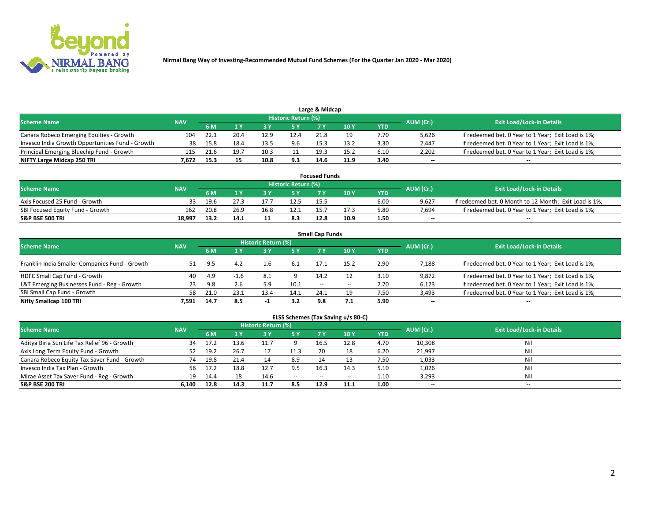

|                                                  |            |      |      |      | Historic Return (%) | Large & Midcap |      |            |                          |                                                     |
|--------------------------------------------------|------------|------|------|------|---------------------|----------------|------|------------|--------------------------|-----------------------------------------------------|
| <b>Scheme Name</b>                               | <b>NAV</b> | 6 M  |      |      | 5 Y                 |                | 10Y  | <b>YTD</b> | AUM (Cr.)                | <b>Exit Load/Lock-in Details</b>                    |
| Canara Robeco Emerging Equities - Growth         | 104        | 22.1 | 20.4 | 12.9 | 12.4                | 21.8           |      | 7.70       | 5,626                    | If redeemed bet. 0 Year to 1 Year; Exit Load is 1%; |
| Invesco India Growth Opportunities Fund - Growth | 38         | 15.8 | 18.4 | 13.5 | 9.6                 | 15.3           | 13.2 | 3.30       | 2,447                    | If redeemed bet. 0 Year to 1 Year; Exit Load is 1%; |
| Principal Emerging Bluechip Fund - Growth        | 115        | 21.6 | 19.7 | 10.5 |                     | 19.3           | 15.2 | 6.10       | 2,202                    | If redeemed bet. 0 Year to 1 Year; Exit Load is 1%; |
| NIFTY Large Midcap 250 TRI                       | 7.672      | 15.3 |      | 10.8 | 9.3                 | 14.6           | 11.9 | 3.40       | $\overline{\phantom{a}}$ | $\overline{\phantom{a}}$                            |

| <b>Focused Funds</b>             |            |      |      |  |                     |      |               |            |           |                                                        |  |  |  |
|----------------------------------|------------|------|------|--|---------------------|------|---------------|------------|-----------|--------------------------------------------------------|--|--|--|
| <b>Scheme Name</b>               | <b>NAV</b> |      |      |  | Historic Return (%) |      |               |            | AUM (Cr.) | <b>Exit Load/Lock-in Details</b>                       |  |  |  |
|                                  |            | 6 M  |      |  |                     |      | $\sqrt{10}$ Y | <b>YTD</b> |           |                                                        |  |  |  |
| Axis Focused 25 Fund - Growth    |            | 19.6 |      |  | 12.5                | 15.5 | $- -$         | 6.00       | 9.627     | If redeemed bet. 0 Month to 12 Month; Exit Load is 1%; |  |  |  |
| SBI Focused Equity Fund - Growth | 162        |      | 26.9 |  |                     |      | 17.3          | 5.80       | 7.694     | If redeemed bet. 0 Year to 1 Year; Exit Load is 1%;    |  |  |  |
| <b>S&amp;P BSE 500 TRI</b>       | 18.997     |      | 14.1 |  | 8.3                 | 12.8 | 10.9          | 1.50       | $\sim$    | $- -$                                                  |  |  |  |

|                                                |            |      |        |                     |      | <b>Small Cap Funds</b> |       |            |           |                                                     |
|------------------------------------------------|------------|------|--------|---------------------|------|------------------------|-------|------------|-----------|-----------------------------------------------------|
| <b>Scheme Name</b>                             | <b>NAV</b> |      |        | Historic Return (%) |      |                        |       |            | AUM (Cr.) | <b>Exit Load/Lock-in Details</b>                    |
|                                                |            | 6 M  |        |                     | 5 Y  |                        | 10Y   | <b>YTD</b> |           |                                                     |
| Franklin India Smaller Companies Fund - Growth |            | 9.5  | 4.2    | 1.6                 | -6.1 | 17.1                   | 15.2  | 2.90       | 7,188     | If redeemed bet. 0 Year to 1 Year; Exit Load is 1%; |
| HDFC Small Cap Fund - Growth                   | 40         | 4.9  | $-1.6$ | - 8.1               |      | 14.2                   |       | 3.10       | 9,872     | If redeemed bet. 0 Year to 1 Year; Exit Load is 1%; |
| L&T Emerging Businesses Fund - Reg - Growth    | 23         | 9.8  | 2.6    |                     | 10.1 | $ -$                   | $- -$ | 2.70       | 6,123     | If redeemed bet. 0 Year to 1 Year; Exit Load is 1%; |
| SBI Small Cap Fund - Growth                    | 58         | 21.0 | 23.1   | 13.4                | 14.1 | 24.1                   | 19    | 7.50       | 3,493     | If redeemed bet. 0 Year to 1 Year; Exit Load is 1%; |
| Nifty Smallcap 100 TRI                         | 7.591      | 14.7 | 8.5    | -1                  | 3.2  | 9.8                    |       | 5.90       | $\sim$    | $- -$                                               |

## **ELSS Schemes (Tax Saving u/s 80-C)**

| <b>Scheme Name</b>                           | <b>NAV</b> |      |      | <b>Historic Return (%)</b> |           |       |      |      | AUM (Cr.) | <b>Exit Load/Lock-in Details</b> |
|----------------------------------------------|------------|------|------|----------------------------|-----------|-------|------|------|-----------|----------------------------------|
|                                              |            | 6 M  | 1 Y  | 3 Y                        | <b>5Y</b> | 7 Y   | 10Y  | YTD  |           |                                  |
| Aditya Birla Sun Life Tax Relief 96 - Growth | 34         | 17.2 | 13.6 |                            |           | 16.5  | 12.8 | 4.70 | 10,308    | Nil                              |
| Axis Long Term Equity Fund - Growth          | 52         | 19.2 | 26.7 |                            | 11.3      | 20    |      | 6.20 | 21,997    | Nil                              |
| Canara Robeco Equity Tax Saver Fund - Growth | 74         | 19.8 | 21.4 | 14                         | 8.9       | 14    |      | 7.50 | 1,033     | Nil                              |
| Invesco India Tax Plan - Growth              | 56         | 17.2 | 18.8 | 12.7                       | 9.5       | 16.3  | 14.3 | 5.10 | 1,026     | Nil                              |
| Mirae Asset Tax Saver Fund - Reg - Growth    | 19         | 14.4 |      | 14.6                       | $- -$     | $- -$ | --   | 1.10 | 3,293     | Nil                              |
| S&P BSE 200 TRI                              | 6.140      | 12.8 | 14.3 | 11.7                       | 8.5       | 12.9  | 11.1 | 1.00 | $-$       | $- -$                            |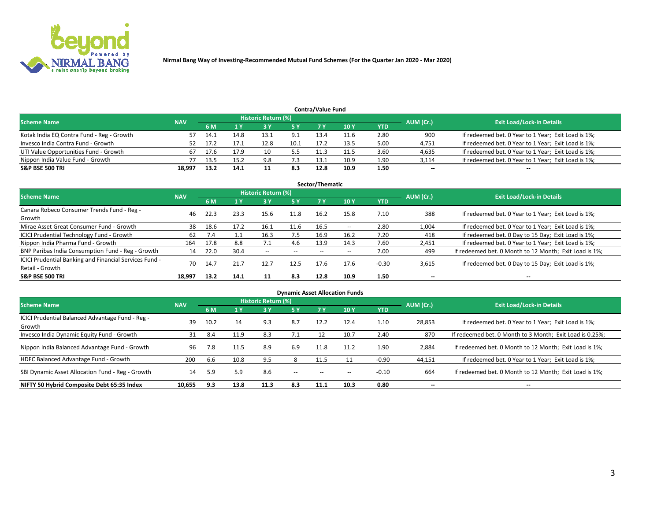

| <b>Contra/Value Fund</b>                                                                                        |        |      |      |      |      |      |                 |            |        |                                                     |  |  |  |  |
|-----------------------------------------------------------------------------------------------------------------|--------|------|------|------|------|------|-----------------|------------|--------|-----------------------------------------------------|--|--|--|--|
| <b>Historic Return (%)</b><br><b>Exit Load/Lock-in Details</b><br>AUM (Cr.)<br><b>Scheme Name</b><br><b>NAV</b> |        |      |      |      |      |      |                 |            |        |                                                     |  |  |  |  |
|                                                                                                                 |        | 6 M  |      |      | 5 Y  |      | 10 <sub>Y</sub> | <b>YTD</b> |        |                                                     |  |  |  |  |
| Kotak India EQ Contra Fund - Reg - Growth                                                                       | 57     |      | 14.8 | 13.1 | 9.1  | 13.4 | 11.6            | 2.80       | 900    | If redeemed bet. 0 Year to 1 Year; Exit Load is 1%; |  |  |  |  |
| Invesco India Contra Fund - Growth                                                                              | 52     | 17.2 | 17.1 | 12.8 | 10.1 | 17.2 | 13.5            | 5.00       | 4,751  | If redeemed bet. 0 Year to 1 Year; Exit Load is 1%; |  |  |  |  |
| UTI Value Opportunities Fund - Growth                                                                           | 67     |      | 17.9 | 10   | 5.5  |      | 11.5            | 3.60       | 4,635  | If redeemed bet. 0 Year to 1 Year; Exit Load is 1%; |  |  |  |  |
| Nippon India Value Fund - Growth                                                                                |        | 13.5 | 15.2 | 9.8  | 7.3  | 13.1 | 10.9            | 1.90       | 3,114  | If redeemed bet. 0 Year to 1 Year; Exit Load is 1%; |  |  |  |  |
| S&P BSE 500 TRI                                                                                                 | 18,997 | 13.2 | 14.1 |      | 8.3  | 12.8 | 10.9            | 1.50       | $\sim$ | --                                                  |  |  |  |  |

|                                                                           |            |      |      |                     |           | Sector/Thematic |       |            |                          |                                                        |
|---------------------------------------------------------------------------|------------|------|------|---------------------|-----------|-----------------|-------|------------|--------------------------|--------------------------------------------------------|
| <b>Scheme Name</b>                                                        | <b>NAV</b> |      |      | Historic Return (%) |           |                 |       |            | AUM (Cr.)                | <b>Exit Load/Lock-in Details</b>                       |
|                                                                           |            | 6 M  | 1 Y  | 73 Y                | <b>5Y</b> | 7 Y             | 10Y   | <b>YTD</b> |                          |                                                        |
| Canara Robeco Consumer Trends Fund - Reg -<br>Growth                      | 46         | 22.3 | 23.3 | 15.6                | 11.8      | 16.2            | 15.8  | 7.10       | 388                      | If redeemed bet. 0 Year to 1 Year; Exit Load is 1%;    |
| Mirae Asset Great Consumer Fund - Growth                                  | 38         | 18.6 | 17.2 | 16.1                | 11.6      | 16.5            | $- -$ | 2.80       | 1,004                    | If redeemed bet. 0 Year to 1 Year; Exit Load is 1%;    |
| <b>ICICI Prudential Technology Fund - Growth</b>                          | 62         | 7.4  |      | 16.3                | 7.5       | 16.9            | 16.2  | 7.20       | 418                      | If redeemed bet. 0 Day to 15 Day; Exit Load is 1%;     |
| Nippon India Pharma Fund - Growth                                         | 164        | 17.8 | 8.8  |                     | 4.6       | 13.9            | 14.3  | 7.60       | 2,451                    | If redeemed bet. 0 Year to 1 Year; Exit Load is 1%;    |
| BNP Paribas India Consumption Fund - Reg - Growth                         | 14         | 22.0 | 30.4 | $- -$               | $- -$     | $- -$           | $- -$ | 7.00       | 499                      | If redeemed bet. 0 Month to 12 Month; Exit Load is 1%; |
| ICICI Prudential Banking and Financial Services Fund -<br>Retail - Growth | 70         | 14.7 | 21.7 | 12.7                | 12.5      | 17.6            | 17.6  | $-0.30$    | 3,615                    | If redeemed bet. 0 Day to 15 Day; Exit Load is 1%;     |
| <b>S&amp;P BSE 500 TRI</b>                                                | 18.997     | 13.2 | 14.1 |                     | 8.3       | 12.8            | 10.9  | 1.50       | $\overline{\phantom{a}}$ | $- -$                                                  |

| <b>Dynamic Asset Allocation Funds</b>                      |            |           |      |                     |        |       |       |            |           |                                                          |  |  |  |
|------------------------------------------------------------|------------|-----------|------|---------------------|--------|-------|-------|------------|-----------|----------------------------------------------------------|--|--|--|
| <b>Scheme Name</b>                                         | <b>NAV</b> |           |      | Historic Return (%) |        |       |       |            |           | <b>Exit Load/Lock-in Details</b>                         |  |  |  |
|                                                            |            | <b>6M</b> | 1 Y  | <b>3Y</b>           | 5 Y    |       | 10Y   | <b>YTD</b> | AUM (Cr.) |                                                          |  |  |  |
| ICICI Prudential Balanced Advantage Fund - Reg -<br>Growth | 39         | 10.2      | 14   | 9.3                 | 8.7    | 12.2  | 12.4  | 1.10       | 28,853    | If redeemed bet. 0 Year to 1 Year; Exit Load is 1%;      |  |  |  |
| Invesco India Dynamic Equity Fund - Growth                 | 31         | 8.4       | 11.9 | 8.3                 | 7.1    | 12    | 10.7  | 2.40       | 870       | If redeemed bet. 0 Month to 3 Month; Exit Load is 0.25%; |  |  |  |
| Nippon India Balanced Advantage Fund - Growth              | 96         | 7.8       | 11.5 | 8.9                 | 6.9    | 11.8  | 11.2  | 1.90       | 2,884     | If redeemed bet. 0 Month to 12 Month; Exit Load is 1%;   |  |  |  |
| HDFC Balanced Advantage Fund - Growth                      | 200        | 6.6       | 10.8 | 9.5                 | 8      | 11.5  |       | $-0.90$    | 44,151    | If redeemed bet. 0 Year to 1 Year; Exit Load is 1%;      |  |  |  |
| SBI Dynamic Asset Allocation Fund - Reg - Growth           | 14         | 5.9       | 5.9  | 8.6                 | $\sim$ | $- -$ | $- -$ | $-0.10$    | 664       | If redeemed bet. 0 Month to 12 Month; Exit Load is 1%;   |  |  |  |
| NIFTY 50 Hybrid Composite Debt 65:35 Index                 | 10,655     | 9.3       | 13.8 | 11.3                | 8.3    | 11.1  | 10.3  | 0.80       | $\sim$    | $\overline{\phantom{a}}$                                 |  |  |  |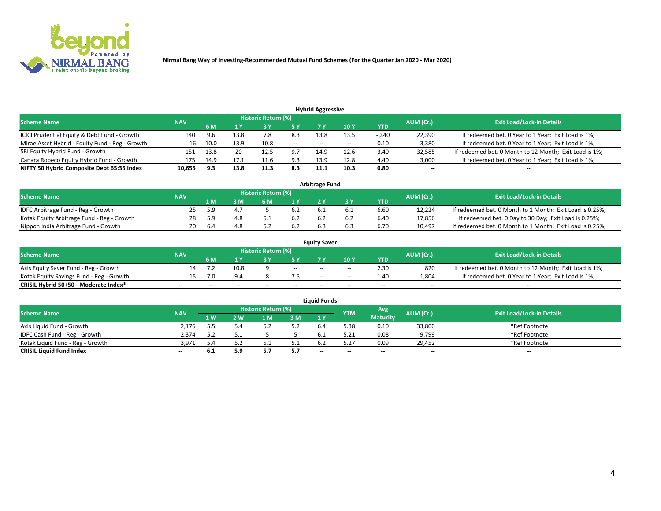

| <b>Hybrid Aggressive</b>                        |            |      |      |                            |        |                          |       |         |                          |                                                        |  |  |  |  |
|-------------------------------------------------|------------|------|------|----------------------------|--------|--------------------------|-------|---------|--------------------------|--------------------------------------------------------|--|--|--|--|
| <b>Scheme Name</b>                              | <b>NAV</b> |      |      | <b>Historic Return (%)</b> |        |                          |       |         | AUM (Cr.)                | <b>Exit Load/Lock-in Details</b>                       |  |  |  |  |
|                                                 |            | 6 M  |      |                            |        |                          | 10Y   | YTD     |                          |                                                        |  |  |  |  |
| ICICI Prudential Equity & Debt Fund - Growth    | 140        | 9.6  | 13.8 |                            | 8.3    | 13.8                     | 13.5  | $-0.40$ | 22,390                   | If redeemed bet. 0 Year to 1 Year; Exit Load is 1%;    |  |  |  |  |
| Mirae Asset Hybrid - Equity Fund - Reg - Growth | 16         | 10.0 | 13.9 | 10.8                       | $\sim$ | $\overline{\phantom{a}}$ | $- -$ | 0.10    | 3,380                    | If redeemed bet. 0 Year to 1 Year; Exit Load is 1%;    |  |  |  |  |
| SBI Equity Hybrid Fund - Growth                 | 151        | 13.8 | 20   | 12.5                       | 9.7    | 14.9                     | 12.6  | 3.40    | 32,585                   | If redeemed bet. 0 Month to 12 Month; Exit Load is 1%; |  |  |  |  |
| Canara Robeco Equity Hybrid Fund - Growth       | 175        | 14.9 |      | 11.6                       | 9.3    | 13.9                     | 12.8  | 4.40    | 3,000                    | If redeemed bet. 0 Year to 1 Year; Exit Load is 1%;    |  |  |  |  |
| NIFTY 50 Hybrid Composite Debt 65:35 Index      | 10,655     | 9.3  | 13.8 | 11.3                       | 8.3    | 11.1                     | 10.3  | 0.80    | $\overline{\phantom{a}}$ | $- -$                                                  |  |  |  |  |

|                                            | <b>Arbitrage Fund</b> |           |                                  |     |     |     |  |      |        |                                                          |  |  |  |  |
|--------------------------------------------|-----------------------|-----------|----------------------------------|-----|-----|-----|--|------|--------|----------------------------------------------------------|--|--|--|--|
| Scheme Name                                | <b>NAV</b>            | AUM (Cr.) | <b>Exit Load/Lock-in Details</b> |     |     |     |  |      |        |                                                          |  |  |  |  |
|                                            |                       | 1 M       | ßΜ                               | 6 M |     |     |  | YTD  |        |                                                          |  |  |  |  |
| IDFC Arbitrage Fund - Reg - Growth         | 25.                   | -59       |                                  |     | 6.2 |     |  | 6.60 | 12.224 | If redeemed bet. 0 Month to 1 Month; Exit Load is 0.25%; |  |  |  |  |
| Kotak Equity Arbitrage Fund - Reg - Growth | 28                    | 59        |                                  |     | 6.2 |     |  | 6.40 | 17,856 | If redeemed bet. 0 Day to 30 Day; Exit Load is 0.25%;    |  |  |  |  |
| Nippon India Arbitrage Fund - Growth       | 20                    | 6.4       |                                  |     | 6.2 | b.: |  | 6.70 | 10.497 | If redeemed bet. 0 Month to 1 Month; Exit Load is 0.25%; |  |  |  |  |

|                                          | <b>Equity Saver</b> |           |                                  |                          |                          |               |               |            |                          |                                                        |  |  |  |  |
|------------------------------------------|---------------------|-----------|----------------------------------|--------------------------|--------------------------|---------------|---------------|------------|--------------------------|--------------------------------------------------------|--|--|--|--|
| Scheme Name                              | <b>NAV</b>          | AUM (Cr.) | <b>Exit Load/Lock-in Details</b> |                          |                          |               |               |            |                          |                                                        |  |  |  |  |
|                                          |                     | 6 M       |                                  |                          | 5 Y                      |               | $\sqrt{10}$ Y | <b>YTD</b> |                          |                                                        |  |  |  |  |
| Axis Equity Saver Fund - Reg - Growth    |                     |           | 10.8                             |                          | $\sim$                   | $-$           | $- -$         | 2.30       | 820                      | If redeemed bet. 0 Month to 12 Month; Exit Load is 1%; |  |  |  |  |
| Kotak Equity Savings Fund - Reg - Growth |                     | ה י       | 9.4                              |                          |                          | $\sim$ $\sim$ | $- -$         | 1.40       | 1,804                    | If redeemed bet. 0 Year to 1 Year; Exit Load is 1%;    |  |  |  |  |
| CRISIL Hybrid 50+50 - Moderate Index*    |                     | $- -$     | $-$                              | $\overline{\phantom{a}}$ | $\overline{\phantom{a}}$ | $\sim$        | --            | $\sim$     | $\overline{\phantom{a}}$ | $- -$                                                  |  |  |  |  |

| <b>Liquid Funds</b>              |            |      |     |                            |      |        |            |                 |           |                                  |  |  |  |  |
|----------------------------------|------------|------|-----|----------------------------|------|--------|------------|-----------------|-----------|----------------------------------|--|--|--|--|
| Scheme Name                      | <b>NAV</b> |      |     | <b>Historic Return (%)</b> |      |        | <b>YTM</b> | Avg             | AUM (Cr.) | <b>Exit Load/Lock-in Details</b> |  |  |  |  |
|                                  |            | 1 W. | 2 W | 1 M                        | 3 M  | 71 Y   |            | <b>Maturity</b> |           |                                  |  |  |  |  |
| Axis Liquid Fund - Growth        | 2,176      |      |     |                            | 5.2  |        | 5.38       | 0.10            | 33,800    | *Ref Footnote                    |  |  |  |  |
| IDFC Cash Fund - Reg - Growth    | 2.374      |      |     |                            |      |        | 5.21       | 0.08            | 9,799     | *Ref Footnote                    |  |  |  |  |
| Kotak Liquid Fund - Reg - Growth | 3,971      |      |     |                            | ۰۰ ت |        |            | 0.09            | 29,452    | *Ref Footnote                    |  |  |  |  |
| <b>CRISIL Liquid Fund Index</b>  | $\sim$     | D.L  | 5.9 |                            | 5.7  | $\sim$ | $-$        | $\sim$          | $\sim$    | $\sim$                           |  |  |  |  |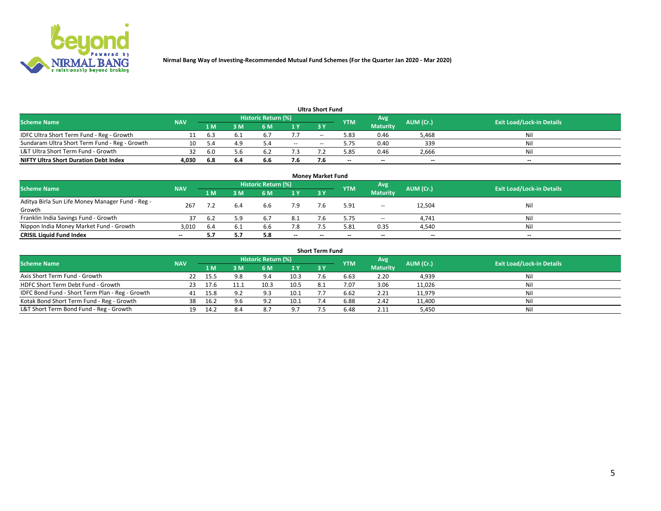

| <b>Ultra Short Fund</b>                       |            |      |     |                     |        |            |            |                 |           |                                  |  |  |  |  |
|-----------------------------------------------|------------|------|-----|---------------------|--------|------------|------------|-----------------|-----------|----------------------------------|--|--|--|--|
| <b>Scheme Name</b>                            | <b>NAV</b> |      |     | Historic Return (%) |        |            | <b>YTM</b> | Avg             | AUM (Cr.) | <b>Exit Load/Lock-in Details</b> |  |  |  |  |
|                                               |            | 1 M' | 3 M | 6 M                 | 1 Y    | <b>3 Y</b> |            | <b>Maturity</b> |           |                                  |  |  |  |  |
| IDFC Ultra Short Term Fund - Reg - Growth     |            | 6.3  |     |                     |        | $-$        | 5.83       | 0.46            | 5.468     | Nil                              |  |  |  |  |
| Sundaram Ultra Short Term Fund - Reg - Growth |            |      | 4.9 |                     | $\sim$ | --         | 5.75       | 0.40            | 339       | Nil                              |  |  |  |  |
| L&T Ultra Short Term Fund - Growth            | 32         | -6.0 | 5.6 |                     |        |            | 5.85       | 0.46            | 2,666     | Nil                              |  |  |  |  |
| <b>NIFTY Ultra Short Duration Debt Index</b>  | 4,030      | 6.8  | 6.4 | 6.6                 | 7.6    |            | --         | $-$             | $- -$     | $- -$                            |  |  |  |  |

| <b>Money Market Fund</b>                                   |            |     |     |                     |           |    |                          |                 |           |                                  |  |  |  |
|------------------------------------------------------------|------------|-----|-----|---------------------|-----------|----|--------------------------|-----------------|-----------|----------------------------------|--|--|--|
| <b>Scheme Name</b>                                         | <b>NAV</b> |     |     | Historic Return (%) |           |    | <b>YTM</b>               | 'Avg            | AUM (Cr.) | <b>Exit Load/Lock-in Details</b> |  |  |  |
|                                                            |            | 1 M | 3 M | 6 M                 | <b>1Y</b> | 3Y |                          | <b>Maturity</b> |           |                                  |  |  |  |
| Aditya Birla Sun Life Money Manager Fund - Reg -<br>Growth | 267        |     | 6.4 | 6.6                 | 7.9       |    | 5.91                     | $\sim$          | 12,504    | Nil                              |  |  |  |
| Franklin India Savings Fund - Growth                       |            | 6.2 | 5.9 | 6.7                 | 8.1       |    | 5.75                     | $\sim$          | 4,741     | Nil                              |  |  |  |
| Nippon India Money Market Fund - Growth                    | 3.010      | 6.4 | 6.1 | 6.6                 | 7.8       |    | 5.81                     | 0.35            | 4,540     | Nil                              |  |  |  |
| <b>CRISIL Liquid Fund Index</b>                            | $- -$      |     |     | 5.8                 | $\sim$    | -- | $\overline{\phantom{a}}$ | $\sim$          | $\sim$    | $\sim$                           |  |  |  |

| <b>Short Term Fund</b>                          |            |      |     |                     |      |           |            |                 |           |                                  |  |  |  |  |
|-------------------------------------------------|------------|------|-----|---------------------|------|-----------|------------|-----------------|-----------|----------------------------------|--|--|--|--|
| <b>Scheme Name</b>                              | <b>NAV</b> |      |     | Historic Return (%) |      |           | <b>YTM</b> | Avg             | AUM (Cr.) | <b>Exit Load/Lock-in Details</b> |  |  |  |  |
|                                                 |            | 1 M  | 3 M | 6 M                 | 1Y   | <b>3Y</b> |            | <b>Maturity</b> |           |                                  |  |  |  |  |
| Axis Short Term Fund - Growth                   | 22         | 15.5 | 9.8 | 9.4                 | 10.3 |           | 6.63       | 2.20            | 4,939     | Nil                              |  |  |  |  |
| HDFC Short Term Debt Fund - Growth              | 23.        | 17.6 |     | 10.3                | 10.5 | 8.1       | 7.07       | 3.06            | 11,026    | Nil                              |  |  |  |  |
| IDFC Bond Fund - Short Term Plan - Reg - Growth | 41         | 15.8 | 9.2 | 9.3                 | 10.1 |           | 6.62       | 2.21            | 11,979    | Nil                              |  |  |  |  |
| Kotak Bond Short Term Fund - Reg - Growth       | 38         | 16.2 | 9.6 | 9.2                 | 10.1 |           | 6.88       | 2.42            | 11,400    | Nil                              |  |  |  |  |
| L&T Short Term Bond Fund - Reg - Growth         |            | 14.2 | 8.4 | 8.7                 | 9.7  |           | 6.48       | 2.11            | 5,450     | Nil                              |  |  |  |  |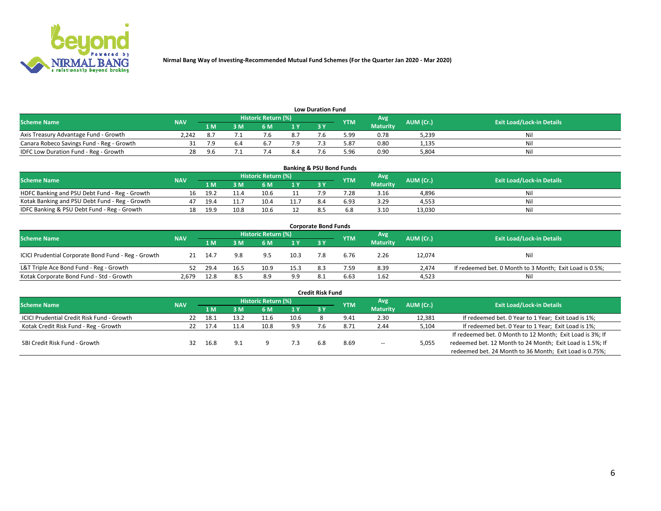

| <b>Low Duration Fund</b>                  |            |     |     |                     |                |           |            |                 |           |                                  |  |  |  |
|-------------------------------------------|------------|-----|-----|---------------------|----------------|-----------|------------|-----------------|-----------|----------------------------------|--|--|--|
| <b>Scheme Name</b>                        | <b>NAV</b> |     |     | Historic Return (%) |                |           | <b>YTM</b> | Avg             | AUM (Cr.) | <b>Exit Load/Lock-in Details</b> |  |  |  |
|                                           |            | 1 M | ያ M | 6 M                 | 1 <sub>V</sub> | <b>3V</b> |            | <b>Maturity</b> |           |                                  |  |  |  |
| Axis Treasury Advantage Fund - Growth     | 2.242      |     |     |                     | 8.7            |           | 5.99       | 0.78            | 5,239     | Nil                              |  |  |  |
| Canara Robeco Savings Fund - Reg - Growth |            |     | b.4 |                     |                |           | 5.87       | 0.80            | 1,135     | Nil                              |  |  |  |
| IDFC Low Duration Fund - Reg - Growth     | 28         | 9.6 |     |                     | 8.4            |           | .96ذ       | 0.90            | 5.804     | Nil                              |  |  |  |

| <b>Banking &amp; PSU Bond Funds</b>            |            |      |      |                            |      |           |            |                 |           |                                  |  |  |  |
|------------------------------------------------|------------|------|------|----------------------------|------|-----------|------------|-----------------|-----------|----------------------------------|--|--|--|
| <b>Scheme Name</b>                             | <b>NAV</b> |      |      | <b>Historic Return (%)</b> |      |           | <b>YTM</b> | Avg             | AUM (Cr.) | <b>Exit Load/Lock-in Details</b> |  |  |  |
|                                                |            | 1 M  | sм   | 6 M                        |      | <b>3Y</b> |            | <b>Maturity</b> |           |                                  |  |  |  |
| HDFC Banking and PSU Debt Fund - Reg - Growth  |            | 19.2 | 11.4 | 10.6                       |      |           | 7.28       | 3.16            | 4,896     | Ni                               |  |  |  |
| Kotak Banking and PSU Debt Fund - Reg - Growth |            | 19.4 |      | 10.4                       | 11.7 | 8.4       | 6.93       | 3.29            | 4.553     | Ni                               |  |  |  |
| IDFC Banking & PSU Debt Fund - Reg - Growth    |            | 19.9 | 10.8 | 10.6                       |      |           |            | 3.10            | 13.030    | Ni                               |  |  |  |

| <b>Corporate Bond Funds</b>                         |            |      |      |                     |      |            |            |                 |           |                                                         |  |  |  |
|-----------------------------------------------------|------------|------|------|---------------------|------|------------|------------|-----------------|-----------|---------------------------------------------------------|--|--|--|
| <b>Scheme Name</b>                                  | <b>NAV</b> |      |      | Historic Return (%) |      |            | <b>YTM</b> | Avg             | AUM (Cr.) | <b>Exit Load/Lock-in Details</b>                        |  |  |  |
|                                                     |            | 1 M  | 3 M  | 6 M                 | 1 Y  | <b>3 Y</b> |            | <b>Maturity</b> |           |                                                         |  |  |  |
| ICICI Prudential Corporate Bond Fund - Reg - Growth |            | 14.7 | 9.8  | 9.5                 | 10.3 |            | 6.76       | 2.26            | 12,074    | Nil                                                     |  |  |  |
| L&T Triple Ace Bond Fund - Reg - Growth             |            | 29.4 | 16.5 | 10.9                | 15.3 | 8.3        | 7.59       | 8.39            | 2.474     | If redeemed bet. 0 Month to 3 Month; Exit Load is 0.5%; |  |  |  |
| Kotak Corporate Bond Fund - Std - Growth            | 2,679      | 12.8 | 8.5  | 8.9                 | 9.9  | -8.1       | 6.63       | 1.62            | 4,523     | Nil                                                     |  |  |  |

| <b>Credit Risk Fund</b>                    |            |      |      |                     |      |     |               |                 |           |                                                           |  |  |  |
|--------------------------------------------|------------|------|------|---------------------|------|-----|---------------|-----------------|-----------|-----------------------------------------------------------|--|--|--|
| <b>Scheme Name</b>                         | <b>NAV</b> |      |      | Historic Return (%) |      |     | <b>YTM</b>    | Avg             | AUM (Cr.) | <b>Exit Load/Lock-in Details</b>                          |  |  |  |
|                                            |            | 1 M  | IM   | 6 M                 | 1 Y  | 3Y  |               | <b>Maturity</b> |           |                                                           |  |  |  |
| ICICI Prudential Credit Risk Fund - Growth | 22         | 18.1 | 13.2 | 11.6                | 10.6 |     | 9.41          | 2.30            | 12,381    | If redeemed bet. 0 Year to 1 Year; Exit Load is 1%;       |  |  |  |
| Kotak Credit Risk Fund - Reg - Growth      | 22.        | 17.4 |      | 10.8                | 9.9  |     | $8.7^{\circ}$ | 2.44            | 5,104     | If redeemed bet. 0 Year to 1 Year; Exit Load is 1%;       |  |  |  |
|                                            |            |      |      |                     |      |     |               |                 |           | If redeemed bet. 0 Month to 12 Month; Exit Load is 3%; If |  |  |  |
| SBI Credit Risk Fund - Growth              |            | 16.8 | 9.1  |                     |      | 6.8 | 8.69          | $\sim$          | 5,055     | redeemed bet. 12 Month to 24 Month; Exit Load is 1.5%; If |  |  |  |
|                                            |            |      |      |                     |      |     |               |                 |           | redeemed bet. 24 Month to 36 Month; Exit Load is 0.75%;   |  |  |  |